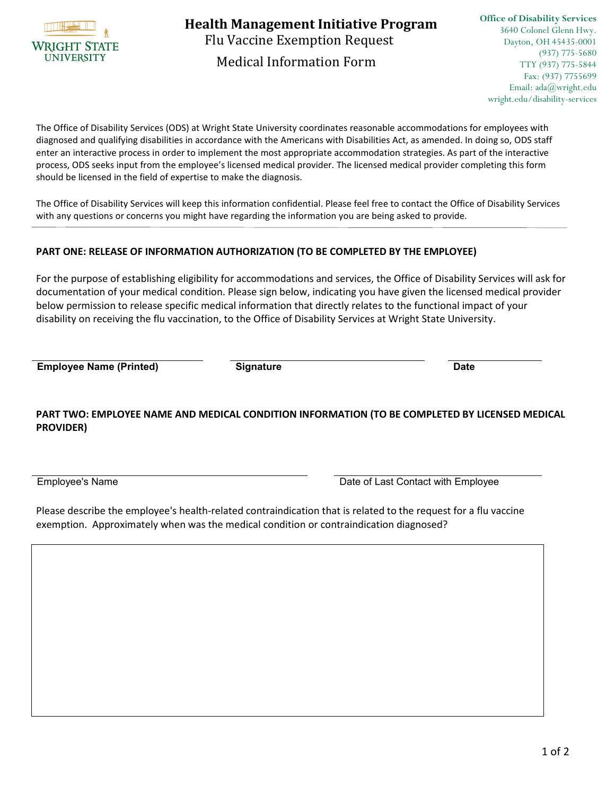

Flu Vaccine Exemption Request Medical Information Form **Health Management Initiative Program**

The Office of Disability Services (ODS) at Wright State University coordinates reasonable accommodations for employees with diagnosed and qualifying disabilities in accordance with the Americans with Disabilities Act, as amended. In doing so, ODS staff enter an interactive process in order to implement the most appropriate accommodation strategies. As part of the interactive process, ODS seeks input from the employee's licensed medical provider. The licensed medical provider completing this form should be licensed in the field of expertise to make the diagnosis.

The Office of Disability Services will keep this information confidential. Please feel free to contact the Office of Disability Services with any questions or concerns you might have regarding the information you are being asked to provide.

## **PART ONE: RELEASE OF INFORMATION AUTHORIZATION (TO BE COMPLETED BY THE EMPLOYEE)**

For the purpose of establishing eligibility for accommodations and services, the Office of Disability Services will ask for documentation of your medical condition. Please sign below, indicating you have given the licensed medical provider below permission to release specific medical information that directly relates to the functional impact of your disability on receiving the flu vaccination, to the Office of Disability Services at Wright State University.

**Employee Name (Printed) Signature Date**

## **PART TWO: EMPLOYEE NAME AND MEDICAL CONDITION INFORMATION (TO BE COMPLETED BY LICENSED MEDICAL PROVIDER)**

Employee's Name **Date of Last Contact with Employee** 

Please describe the employee's health-related contraindication that is related to the request for a flu vaccine exemption. Approximately when was the medical condition or contraindication diagnosed?